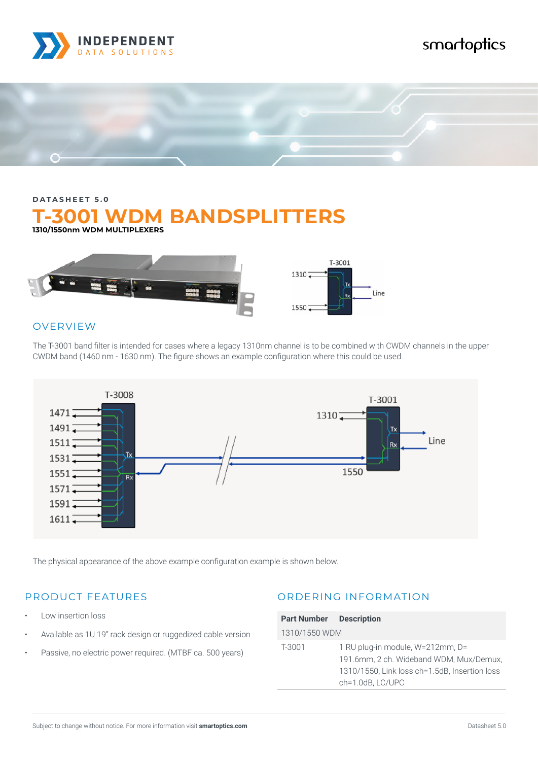

# smartoptics



## **DATASHEET 5.0 T-3001 WDM BANDSPLITTERS 1310/1550nm WDM MULTIPLEXERS**



### **OVERVIEW**

The T-3001 band filter is intended for cases where a legacy 1310nm channel is to be combined with CWDM channels in the upper CWDM band (1460 nm - 1630 nm). The figure shows an example configuration where this could be used.



The physical appearance of the above example configuration example is shown below.

#### PRODUCT FEATURES

- Low insertion loss
- Available as 1U 19" rack design or ruggedized cable version
- Passive, no electric power required. (MTBF ca. 500 years)

#### ORDERING INFORMATION

| <b>Part Number Description</b> |                                               |
|--------------------------------|-----------------------------------------------|
| 1310/1550 WDM                  |                                               |
| T-3001                         | 1 RU plug-in module, W=212mm, D=              |
|                                | 191.6mm, 2 ch. Wideband WDM, Mux/Demux,       |
|                                | 1310/1550, Link loss ch=1.5dB, Insertion loss |
|                                | ch=1.0dB, LC/UPC                              |